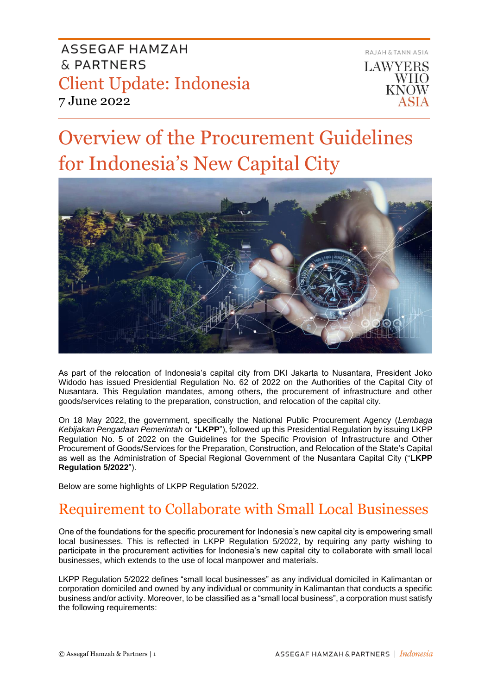

# Overview of the Procurement Guidelines for Indonesia's New Capital City



As part of the relocation of Indonesia's capital city from DKI Jakarta to Nusantara, President Joko Widodo has issued Presidential Regulation No. 62 of 2022 on the Authorities of the Capital City of Nusantara. This Regulation mandates, among others, the procurement of infrastructure and other goods/services relating to the preparation, construction, and relocation of the capital city.

On 18 May 2022, the government, specifically the National Public Procurement Agency (*Lembaga Kebijakan Pengadaan Pemerintah* or "**LKPP**"), followed up this Presidential Regulation by issuing LKPP Regulation No. 5 of 2022 on the Guidelines for the Specific Provision of Infrastructure and Other Procurement of Goods/Services for the Preparation, Construction, and Relocation of the State's Capital as well as the Administration of Special Regional Government of the Nusantara Capital City ("**LKPP Regulation 5/2022**").

Below are some highlights of LKPP Regulation 5/2022.

## Requirement to Collaborate with Small Local Businesses

One of the foundations for the specific procurement for Indonesia's new capital city is empowering small local businesses. This is reflected in LKPP Regulation 5/2022, by requiring any party wishing to participate in the procurement activities for Indonesia's new capital city to collaborate with small local businesses, which extends to the use of local manpower and materials.

LKPP Regulation 5/2022 defines "small local businesses" as any individual domiciled in Kalimantan or corporation domiciled and owned by any individual or community in Kalimantan that conducts a specific business and/or activity. Moreover, to be classified as a "small local business", a corporation must satisfy the following requirements: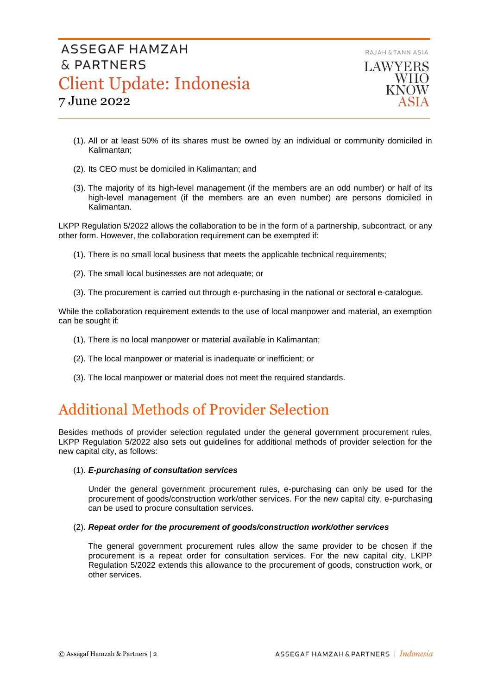RAJAH & TANN ASIA

## ASSEGAF HAMZAH & PARTNERS Client Update: Indonesia 7 June 2022



- (1). All or at least 50% of its shares must be owned by an individual or community domiciled in Kalimantan;
- (2). Its CEO must be domiciled in Kalimantan; and
- (3). The majority of its high-level management (if the members are an odd number) or half of its high-level management (if the members are an even number) are persons domiciled in Kalimantan.

LKPP Regulation 5/2022 allows the collaboration to be in the form of a partnership, subcontract, or any other form. However, the collaboration requirement can be exempted if:

- (1). There is no small local business that meets the applicable technical requirements;
- (2). The small local businesses are not adequate; or
- (3). The procurement is carried out through e-purchasing in the national or sectoral e-catalogue.

While the collaboration requirement extends to the use of local manpower and material, an exemption can be sought if:

- (1). There is no local manpower or material available in Kalimantan;
- (2). The local manpower or material is inadequate or inefficient; or
- (3). The local manpower or material does not meet the required standards.

## Additional Methods of Provider Selection

Besides methods of provider selection regulated under the general government procurement rules, LKPP Regulation 5/2022 also sets out guidelines for additional methods of provider selection for the new capital city, as follows:

### (1). *E-purchasing of consultation services*

Under the general government procurement rules, e-purchasing can only be used for the procurement of goods/construction work/other services. For the new capital city, e-purchasing can be used to procure consultation services.

### (2). *Repeat order for the procurement of goods/construction work/other services*

The general government procurement rules allow the same provider to be chosen if the procurement is a repeat order for consultation services. For the new capital city, LKPP Regulation 5/2022 extends this allowance to the procurement of goods, construction work, or other services.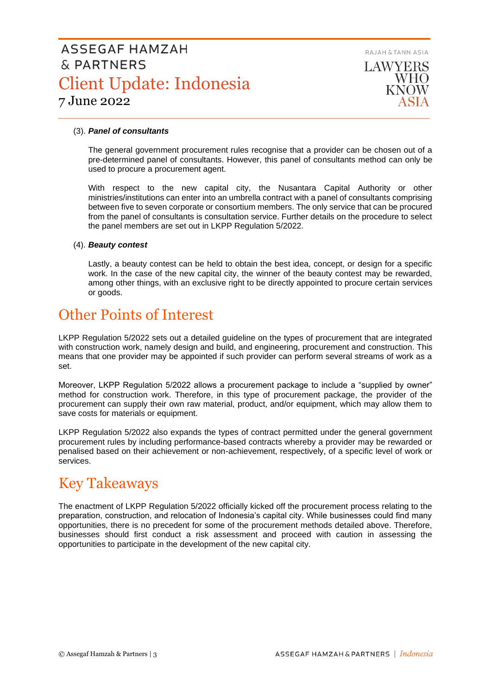

### (3). *Panel of consultants*

The general government procurement rules recognise that a provider can be chosen out of a pre-determined panel of consultants. However, this panel of consultants method can only be used to procure a procurement agent.

With respect to the new capital city, the Nusantara Capital Authority or other ministries/institutions can enter into an umbrella contract with a panel of consultants comprising between five to seven corporate or consortium members. The only service that can be procured from the panel of consultants is consultation service. Further details on the procedure to select the panel members are set out in LKPP Regulation 5/2022.

### (4). *Beauty contest*

Lastly, a beauty contest can be held to obtain the best idea, concept, or design for a specific work. In the case of the new capital city, the winner of the beauty contest may be rewarded, among other things, with an exclusive right to be directly appointed to procure certain services or goods.

## Other Points of Interest

LKPP Regulation 5/2022 sets out a detailed guideline on the types of procurement that are integrated with construction work, namely design and build, and engineering, procurement and construction. This means that one provider may be appointed if such provider can perform several streams of work as a set.

Moreover, LKPP Regulation 5/2022 allows a procurement package to include a "supplied by owner" method for construction work. Therefore, in this type of procurement package, the provider of the procurement can supply their own raw material, product, and/or equipment, which may allow them to save costs for materials or equipment.

LKPP Regulation 5/2022 also expands the types of contract permitted under the general government procurement rules by including performance-based contracts whereby a provider may be rewarded or penalised based on their achievement or non-achievement, respectively, of a specific level of work or services.

### Key Takeaways

The enactment of LKPP Regulation 5/2022 officially kicked off the procurement process relating to the preparation, construction, and relocation of Indonesia's capital city. While businesses could find many opportunities, there is no precedent for some of the procurement methods detailed above. Therefore, businesses should first conduct a risk assessment and proceed with caution in assessing the opportunities to participate in the development of the new capital city.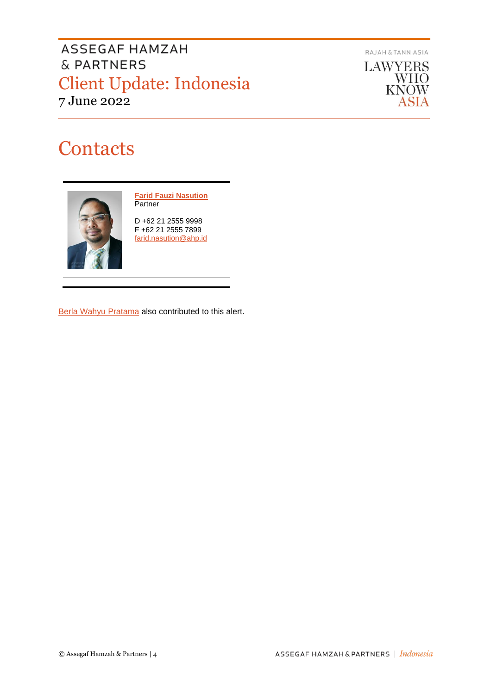RAJAH & TANN ASIA

**LAWYERS WHO KNOW** ASIA

# **Contacts**



**[Farid Fauzi Nasution](https://www.ahp.id/farid-fauzi-nasution/) Partner** 

D +62 21 2555 9998 F +62 21 2555 7899 [farid.nasution@ahp.id](mailto:farid.nasution@ahp.id)

[Berla Wahyu Pratama](mailto:berla.pratama@ahp.id) also contributed to this alert.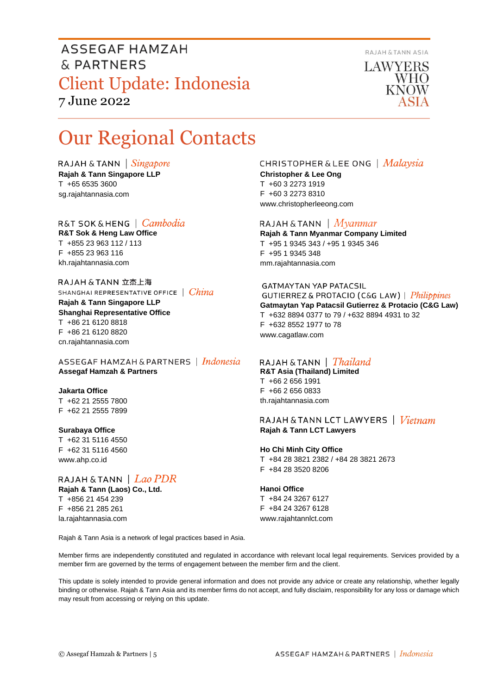

LAWYERS **WHO KNOW** 

# Our Regional Contacts

RAJAH & TANN  $\int$  *Singapore* **Rajah & Tann Singapore LLP** T +65 6535 3600 sg.rajahtannasia.com

R&T SOK&HENG | Cambodia **R&T Sok & Heng Law Office** T +855 23 963 112 / 113 F +855 23 963 116 kh.rajahtannasia.com

RAJAH & TANN 立杰上海 SHANGHAI REPRESENTATIVE OFFICE | China

**Rajah & Tann Singapore LLP Shanghai Representative Office** T +86 21 6120 8818 F +86 21 6120 8820 cn.rajahtannasia.com

ASSEGAF HAMZAH & PARTNERS | Indonesia **Assegaf Hamzah & Partners**

**Jakarta Office** T +62 21 2555 7800 F +62 21 2555 7899

### **Surabaya Office**

T +62 31 5116 4550 F +62 31 5116 4560 www.ahp.co.id

#### RAJAH & TANN  $|$  Lao PDR **Rajah & Tann (Laos) Co., Ltd.**

T +856 21 454 239 F +856 21 285 261 la.rajahtannasia.com

### **CHRISTOPHER & LEE ONG** | Malaysia **Christopher & Lee Ong**

T +60 3 2273 1919 F +60 3 2273 8310 www.christopherleeong.com

### RAJAH & TANN  $\mid$  *Myanmar*

**Rajah & Tann Myanmar Company Limited** T +95 1 9345 343 / +95 1 9345 346 F +95 1 9345 348 mm.rajahtannasia.com

### **GATMAYTAN YAP PATACSIL**

GUTIERREZ & PROTACIO (C&G LAW) | Philippines **Gatmaytan Yap Patacsil Gutierrez & Protacio (C&G Law)**  T +632 8894 0377 to 79 / +632 8894 4931 to 32 F +632 8552 1977 to 78 www.cagatlaw.com

### RAJAH & TANN | *Thailand*

**R&T Asia (Thailand) Limited** T +66 2 656 1991 F +66 2 656 0833 th.rajahtannasia.com

### RAJAH & TANN LCT LAWYERS | Vietnam **Rajah & Tann LCT Lawyers**

#### **Ho Chi Minh City Office**

T +84 28 3821 2382 / +84 28 3821 2673 F +84 28 3520 8206

#### **Hanoi Office**

T +84 24 3267 6127 F +84 24 3267 6128 www.rajahtannlct.com

Rajah & Tann Asia is a network of legal practices based in Asia.

Member firms are independently constituted and regulated in accordance with relevant local legal requirements. Services provided by a member firm are governed by the terms of engagement between the member firm and the client.

This update is solely intended to provide general information and does not provide any advice or create any relationship, whether legally binding or otherwise. Rajah & Tann Asia and its member firms do not accept, and fully disclaim, responsibility for any loss or damage which may result from accessing or relying on this update.